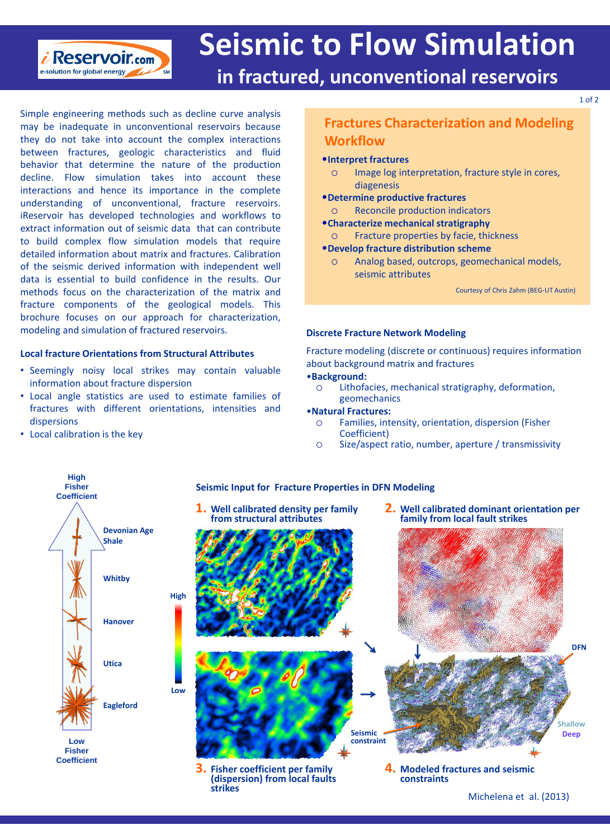

# **Seismic to Flow Simulation**

# **in fractured, unconventional reservoirs**

Simple engineering methods such as decline curve analysis may be inadequate in unconventional reservoirs because they do not take into account the complex interactions between fractures, geologic characteristics and fluid behavior that determine the nature of the production decline. Flow simulation takes into account these interactions and hence its importance in the complete understanding of unconventional, fracture reservoirs. iReservoir has developed technologies and workflows to extract information out of seismic data that can contribute to build complex flow simulation models that require detailed information about matrix and fractures. Calibration of the seismic derived information with independent well data is essential to build confidence in the results. Our methods focus on the characterization of the matrix and fracture components of the geological models. This brochure focuses on our approach for characterization, modeling and simulation of fractured reservoirs.

### **Local fracture Orientations from Structural Attributes**

- Seemingly noisy local strikes may contain valuable information about fracture dispersion
- Local angle statistics are used to estimate families of fractures with different orientations, intensities and dispersions
- Local calibration is the key

# **Fractures Characterization and Modeling Workflow**

### •**Interpret fractures**

- o Image log interpretation, fracture style in cores, diagenesis
- •**Determine productive fractures**
	- o Reconcile production indicators
- •**Characterize mechanical stratigraphy**
	- o Fracture properties by facie, thickness

# •**Develop fracture distribution scheme**

o Analog based, outcrops, geomechanical models, seismic attributes

Courtesy of Chris Zahm (BEG-UT Austin)

## **Discrete Fracture Network Modeling**

Fracture modeling (discrete or continuous) requires information about background matrix and fractures

# •**Background:**

o Lithofacies, mechanical stratigraphy, deformation, geomechanics

### •**Natural Fractures:**

- o Families, intensity, orientation, dispersion (Fisher Coefficient)
- o Size/aspect ratio, number, aperture / transmissivity